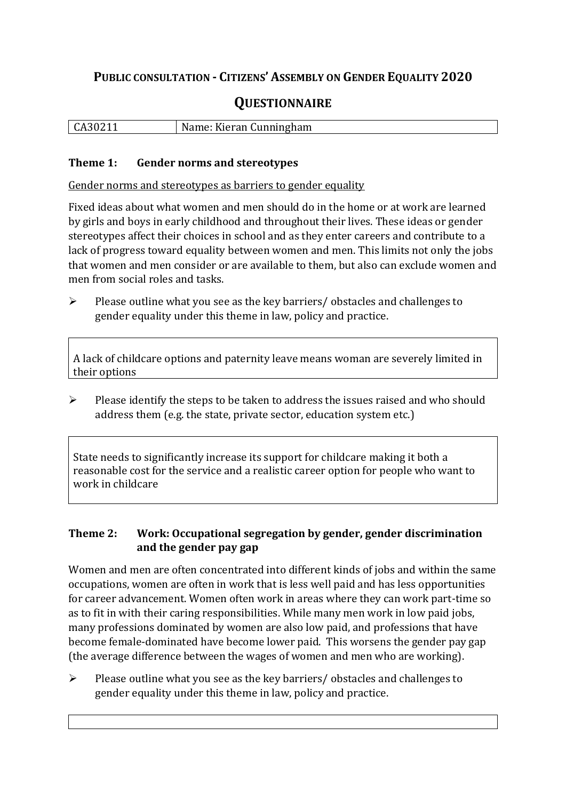# **PUBLIC CONSULTATION - CITIZENS' ASSEMBLY ON GENDER EQUALITY 2020**

# **QUESTIONNAIRE**

| CA3021 | Name:<br>: Kieran Cunningham |
|--------|------------------------------|
|        |                              |

#### **Theme 1: Gender norms and stereotypes**

Gender norms and stereotypes as barriers to gender equality

Fixed ideas about what women and men should do in the home or at work are learned by girls and boys in early childhood and throughout their lives. These ideas or gender stereotypes affect their choices in school and as they enter careers and contribute to a lack of progress toward equality between women and men. This limits not only the jobs that women and men consider or are available to them, but also can exclude women and men from social roles and tasks.

➢ Please outline what you see as the key barriers/ obstacles and challenges to gender equality under this theme in law, policy and practice.

A lack of childcare options and paternity leave means woman are severely limited in their options

➢ Please identify the steps to be taken to address the issues raised and who should address them (e.g. the state, private sector, education system etc.)

State needs to significantly increase its support for childcare making it both a reasonable cost for the service and a realistic career option for people who want to work in childcare

#### **Theme 2: Work: Occupational segregation by gender, gender discrimination and the gender pay gap**

Women and men are often concentrated into different kinds of jobs and within the same occupations, women are often in work that is less well paid and has less opportunities for career advancement. Women often work in areas where they can work part-time so as to fit in with their caring responsibilities. While many men work in low paid jobs, many professions dominated by women are also low paid, and professions that have become female-dominated have become lower paid. This worsens the gender pay gap (the average difference between the wages of women and men who are working).

➢ Please outline what you see as the key barriers/ obstacles and challenges to gender equality under this theme in law, policy and practice.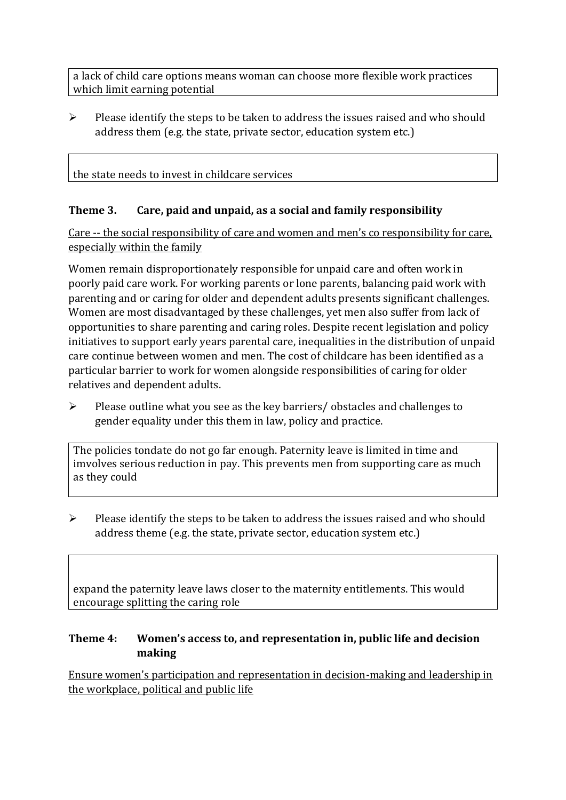a lack of child care options means woman can choose more flexible work practices which limit earning potential

➢ Please identify the steps to be taken to address the issues raised and who should address them (e.g. the state, private sector, education system etc.)

### the state needs to invest in childcare services

### **Theme 3. Care, paid and unpaid, as a social and family responsibility**

Care -- the social responsibility of care and women and men's co responsibility for care, especially within the family

Women remain disproportionately responsible for unpaid care and often work in poorly paid care work. For working parents or [lone parents,](https://aran.library.nuigalway.ie/bitstream/handle/10379/6044/Millar_and_Crosse_Activation_Report.pdf?sequence=1&isAllowed=y) balancing paid work with parenting and or caring for older and dependent adults presents significant challenges. Women are [most disadvantaged by these challenges,](https://eige.europa.eu/gender-equality-index/game/IE/W) yet men also suffer from lack of opportunities to share parenting and caring roles. Despite recent legislation and policy initiatives to support early years parental care, [inequalities in the distribution of unpaid](https://www.ihrec.ie/app/uploads/2019/07/Caring-and-Unpaid-Work-in-Ireland_Final.pdf)  [care](https://www.ihrec.ie/app/uploads/2019/07/Caring-and-Unpaid-Work-in-Ireland_Final.pdf) continue between women and men. The cost of childcare has been identified as a particular barrier to work for women alongside responsibilities of caring for older relatives and dependent adults.

➢ Please outline what you see as the key barriers/ obstacles and challenges to gender equality under this them in law, policy and practice.

The policies tondate do not go far enough. Paternity leave is limited in time and imvolves serious reduction in pay. This prevents men from supporting care as much as they could

 $\triangleright$  Please identify the steps to be taken to address the issues raised and who should address theme (e.g. the state, private sector, education system etc.)

expand the paternity leave laws closer to the maternity entitlements. This would encourage splitting the caring role

#### **Theme 4: Women's access to, and representation in, public life and decision making**

Ensure women's participation and representation in decision-making and leadership in the workplace, political and public life